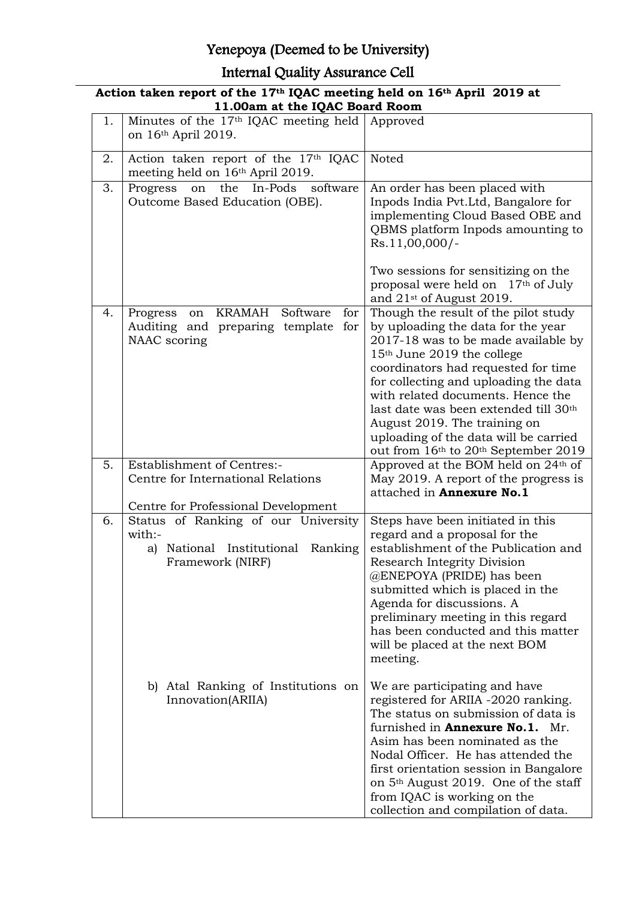### Yenepoya (Deemed to be University)

### Internal Quality Assurance Cell

|    | Action taken report of the 17 <sup>th</sup> IQAC meeting held on 16 <sup>th</sup> April 2019 at<br>11.00am at the IQAC Board Room |                                                                                                                                                                                                                                                                                                                                                                                                                                                        |  |  |  |
|----|-----------------------------------------------------------------------------------------------------------------------------------|--------------------------------------------------------------------------------------------------------------------------------------------------------------------------------------------------------------------------------------------------------------------------------------------------------------------------------------------------------------------------------------------------------------------------------------------------------|--|--|--|
| 1. | Minutes of the $17th$ IQAC meeting held Approved<br>on 16th April 2019.                                                           |                                                                                                                                                                                                                                                                                                                                                                                                                                                        |  |  |  |
| 2. | Action taken report of the 17th IQAC<br>meeting held on 16th April 2019.                                                          | Noted                                                                                                                                                                                                                                                                                                                                                                                                                                                  |  |  |  |
| 3. | the<br>In-Pods software<br>Progress<br>on<br>Outcome Based Education (OBE).                                                       | An order has been placed with<br>Inpods India Pvt.Ltd, Bangalore for<br>implementing Cloud Based OBE and<br>QBMS platform Inpods amounting to<br>Rs.11,00,000/-                                                                                                                                                                                                                                                                                        |  |  |  |
|    |                                                                                                                                   | Two sessions for sensitizing on the<br>proposal were held on 17th of July<br>and $21st$ of August 2019.                                                                                                                                                                                                                                                                                                                                                |  |  |  |
| 4. | Progress on KRAMAH<br>Software<br>for<br>Auditing and preparing template<br>for<br>NAAC scoring                                   | Though the result of the pilot study<br>by uploading the data for the year<br>2017-18 was to be made available by<br>15 <sup>th</sup> June 2019 the college<br>coordinators had requested for time<br>for collecting and uploading the data<br>with related documents. Hence the<br>last date was been extended till 30 <sup>th</sup><br>August 2019. The training on<br>uploading of the data will be carried<br>out from 16th to 20th September 2019 |  |  |  |
| 5. | <b>Establishment of Centres:-</b><br>Centre for International Relations                                                           | Approved at the BOM held on 24 <sup>th</sup> of<br>May 2019. A report of the progress is<br>attached in <b>Annexure No.1</b>                                                                                                                                                                                                                                                                                                                           |  |  |  |
|    | Centre for Professional Development                                                                                               |                                                                                                                                                                                                                                                                                                                                                                                                                                                        |  |  |  |
| 6. | Status of Ranking of our University<br>with:-<br>a) National Institutional Ranking<br>Framework (NIRF)                            | Steps have been initiated in this<br>regard and a proposal for the<br>establishment of the Publication and<br>Research Integrity Division<br>@ENEPOYA (PRIDE) has been<br>submitted which is placed in the<br>Agenda for discussions. A<br>preliminary meeting in this regard<br>has been conducted and this matter<br>will be placed at the next BOM<br>meeting.                                                                                      |  |  |  |
|    | b) Atal Ranking of Institutions on<br>Innovation(ARIIA)                                                                           | We are participating and have<br>registered for ARIIA -2020 ranking.<br>The status on submission of data is<br>furnished in <b>Annexure No.1.</b> Mr.<br>Asim has been nominated as the<br>Nodal Officer. He has attended the<br>first orientation session in Bangalore<br>on 5 <sup>th</sup> August 2019. One of the staff<br>from IQAC is working on the<br>collection and compilation of data.                                                      |  |  |  |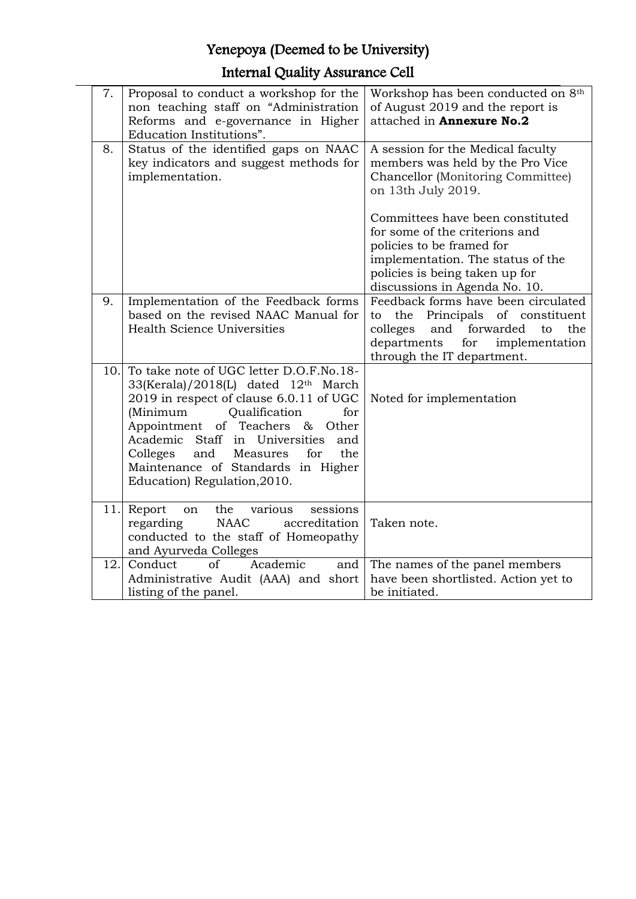### Yenepoya (Deemed to be University)

### Internal Quality Assurance Cell

| 7.  | Proposal to conduct a workshop for the                             | Workshop has been conducted on 8th        |
|-----|--------------------------------------------------------------------|-------------------------------------------|
|     | non teaching staff on "Administration"                             | of August 2019 and the report is          |
|     | Reforms and e-governance in Higher                                 | attached in Annexure No.2                 |
|     | Education Institutions".                                           |                                           |
| 8.  | Status of the identified gaps on NAAC                              | A session for the Medical faculty         |
|     | key indicators and suggest methods for                             | members was held by the Pro Vice          |
|     | implementation.                                                    | Chancellor (Monitoring Committee)         |
|     |                                                                    | on 13th July 2019.                        |
|     |                                                                    | Committees have been constituted          |
|     |                                                                    | for some of the criterions and            |
|     |                                                                    | policies to be framed for                 |
|     |                                                                    | implementation. The status of the         |
|     |                                                                    | policies is being taken up for            |
|     |                                                                    | discussions in Agenda No. 10.             |
| 9.  | Implementation of the Feedback forms                               | Feedback forms have been circulated       |
|     | based on the revised NAAC Manual for                               | the Principals of constituent<br>to       |
|     | <b>Health Science Universities</b>                                 | colleges<br>forwarded<br>and<br>to<br>the |
|     |                                                                    | departments<br>implementation<br>for      |
|     |                                                                    | through the IT department.                |
| 10. | To take note of UGC letter D.O.F.No.18-                            |                                           |
|     | 33(Kerala)/2018(L) dated 12th March                                |                                           |
|     | 2019 in respect of clause 6.0.11 of UGC<br>for                     | Noted for implementation                  |
|     | (Minimum<br>Qualification<br>Other                                 |                                           |
|     | Appointment of Teachers &<br>Academic Staff in Universities<br>and |                                           |
|     | and<br>Measures<br>for<br>the<br>Colleges                          |                                           |
|     | Maintenance of Standards in Higher                                 |                                           |
|     | Education) Regulation, 2010.                                       |                                           |
|     |                                                                    |                                           |
|     | 11. Report<br>various<br>sessions<br>the<br>on                     |                                           |
|     | <b>NAAC</b><br>accreditation<br>regarding                          | Taken note.                               |
|     | conducted to the staff of Homeopathy                               |                                           |
|     | and Ayurveda Colleges                                              |                                           |
| 12. | of<br>Academic<br>Conduct<br>and                                   | The names of the panel members            |
|     | Administrative Audit (AAA) and short                               | have been shortlisted. Action yet to      |
|     | listing of the panel.                                              | be initiated.                             |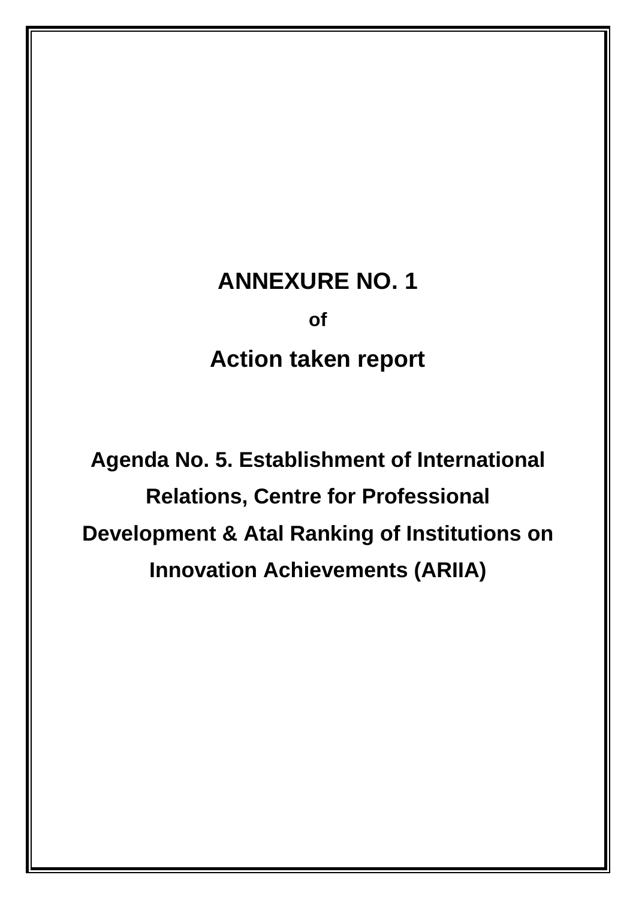# **ANNEXURE NO. 1**

**of**

# **Action taken report**

**Agenda No. 5. Establishment of International Relations, Centre for Professional Development & Atal Ranking of Institutions on Innovation Achievements (ARIIA)**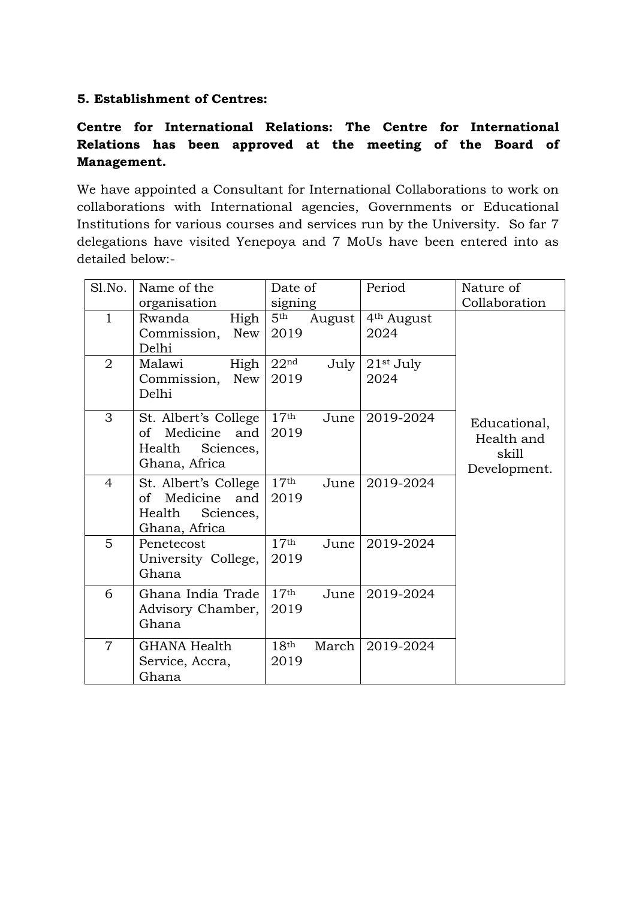#### **5. Establishment of Centres:**

#### **Centre for International Relations: The Centre for International Relations has been approved at the meeting of the Board of Management.**

We have appointed a Consultant for International Collaborations to work on collaborations with International agencies, Governments or Educational Institutions for various courses and services run by the University. So far 7 delegations have visited Yenepoya and 7 MoUs have been entered into as detailed below:-

| Sl.No.         | Name of the                                                                           | Date of                            |        | Period                         | Nature of                                           |
|----------------|---------------------------------------------------------------------------------------|------------------------------------|--------|--------------------------------|-----------------------------------------------------|
| $\mathbf 1$    | organisation<br>Rwanda<br>High<br>New<br>Commission,<br>Delhi                         | signing<br>5 <sup>th</sup><br>2019 | August | 4 <sup>th</sup> August<br>2024 | Collaboration                                       |
| $\overline{2}$ | Malawi<br>High<br>Commission,<br><b>New</b><br>Delhi                                  | 22 <sup>nd</sup><br>2019           | July   | $21st$ July<br>2024            |                                                     |
| 3              | St. Albert's College<br>Medicine<br>of<br>and<br>Sciences,<br>Health<br>Ghana, Africa | 17 <sup>th</sup><br>2019           | June   | 2019-2024                      | Educational,<br>Health and<br>skill<br>Development. |
| 4              | St. Albert's College<br>Medicine<br>and<br>of<br>Sciences,<br>Health<br>Ghana, Africa | 17 <sup>th</sup><br>2019           | June   | 2019-2024                      |                                                     |
| 5              | Penetecost<br>University College,<br>Ghana                                            | 17 <sup>th</sup><br>2019           | June   | 2019-2024                      |                                                     |
| 6              | Ghana India Trade<br>Advisory Chamber,<br>Ghana                                       | 17 <sup>th</sup><br>2019           | June   | 2019-2024                      |                                                     |
| $\overline{7}$ | <b>GHANA Health</b><br>Service, Accra,<br>Ghana                                       | 18 <sup>th</sup><br>2019           | March  | 2019-2024                      |                                                     |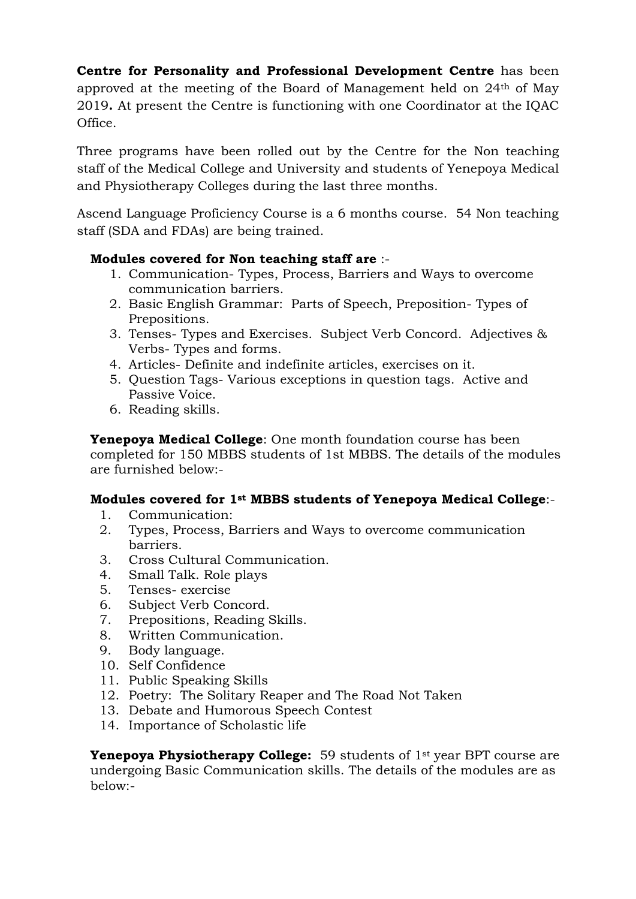**Centre for Personality and Professional Development Centre** has been approved at the meeting of the Board of Management held on 24th of May 2019**.** At present the Centre is functioning with one Coordinator at the IQAC Office.

Three programs have been rolled out by the Centre for the Non teaching staff of the Medical College and University and students of Yenepoya Medical and Physiotherapy Colleges during the last three months.

Ascend Language Proficiency Course is a 6 months course. 54 Non teaching staff (SDA and FDAs) are being trained.

#### **Modules covered for Non teaching staff are** :-

- 1. Communication- Types, Process, Barriers and Ways to overcome communication barriers.
- 2. Basic English Grammar: Parts of Speech, Preposition- Types of Prepositions.
- 3. Tenses- Types and Exercises. Subject Verb Concord. Adjectives & Verbs- Types and forms.
- 4. Articles- Definite and indefinite articles, exercises on it.
- 5. Question Tags- Various exceptions in question tags. Active and Passive Voice.
- 6. Reading skills.

**Yenepoya Medical College**: One month foundation course has been completed for 150 MBBS students of 1st MBBS. The details of the modules are furnished below:-

#### **Modules covered for 1st MBBS students of Yenepoya Medical College**:-

- 1. Communication:
- 2. Types, Process, Barriers and Ways to overcome communication barriers.
- 3. Cross Cultural Communication.
- 4. Small Talk. Role plays
- 5. Tenses- exercise
- 6. Subject Verb Concord.
- 7. Prepositions, Reading Skills.
- 8. Written Communication.
- 9. Body language.
- 10. Self Confidence
- 11. Public Speaking Skills
- 12. Poetry: The Solitary Reaper and The Road Not Taken
- 13. Debate and Humorous Speech Contest
- 14. Importance of Scholastic life

**Yenepoya Physiotherapy College:** 59 students of 1<sup>st</sup> year BPT course are undergoing Basic Communication skills. The details of the modules are as below:-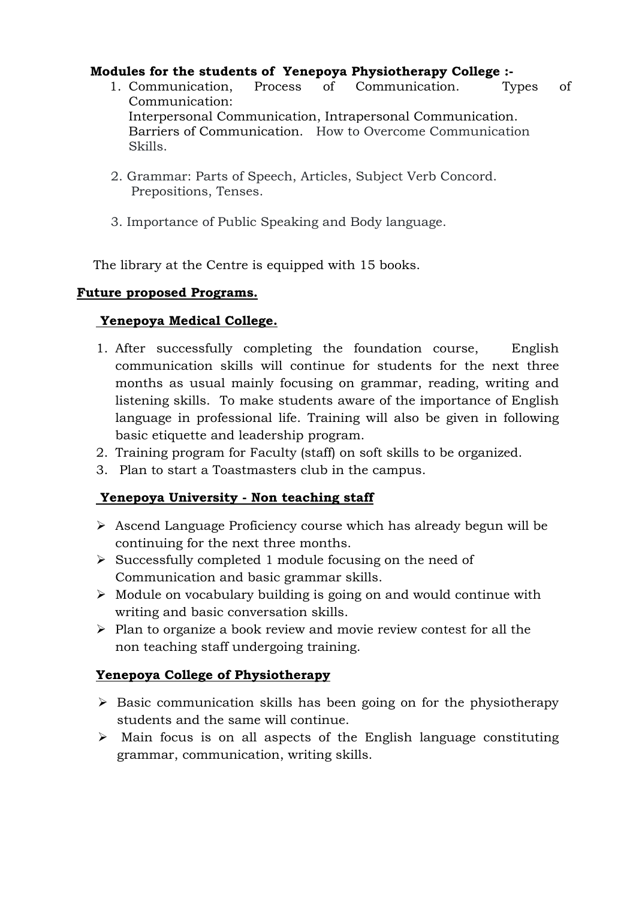#### **Modules for the students of Yenepoya Physiotherapy College :-**

- 1. Communication, Process of Communication. Types of Communication: Interpersonal Communication, Intrapersonal Communication. Barriers of Communication. How to Overcome Communication Skills.
- 2. Grammar: Parts of Speech, Articles, Subject Verb Concord. Prepositions, Tenses.
- 3. Importance of Public Speaking and Body language.

The library at the Centre is equipped with 15 books.

#### **Future proposed Programs.**

#### **Yenepoya Medical College.**

- 1. After successfully completing the foundation course, English communication skills will continue for students for the next three months as usual mainly focusing on grammar, reading, writing and listening skills. To make students aware of the importance of English language in professional life. Training will also be given in following basic etiquette and leadership program.
- 2. Training program for Faculty (staff) on soft skills to be organized.
- 3. Plan to start a Toastmasters club in the campus.

#### **Yenepoya University - Non teaching staff**

- $\triangleright$  Ascend Language Proficiency course which has already begun will be continuing for the next three months.
- $\triangleright$  Successfully completed 1 module focusing on the need of Communication and basic grammar skills.
- $\triangleright$  Module on vocabulary building is going on and would continue with writing and basic conversation skills.
- $\triangleright$  Plan to organize a book review and movie review contest for all the non teaching staff undergoing training.

#### **Yenepoya College of Physiotherapy**

- $\triangleright$  Basic communication skills has been going on for the physiotherapy students and the same will continue.
- $\triangleright$  Main focus is on all aspects of the English language constituting grammar, communication, writing skills.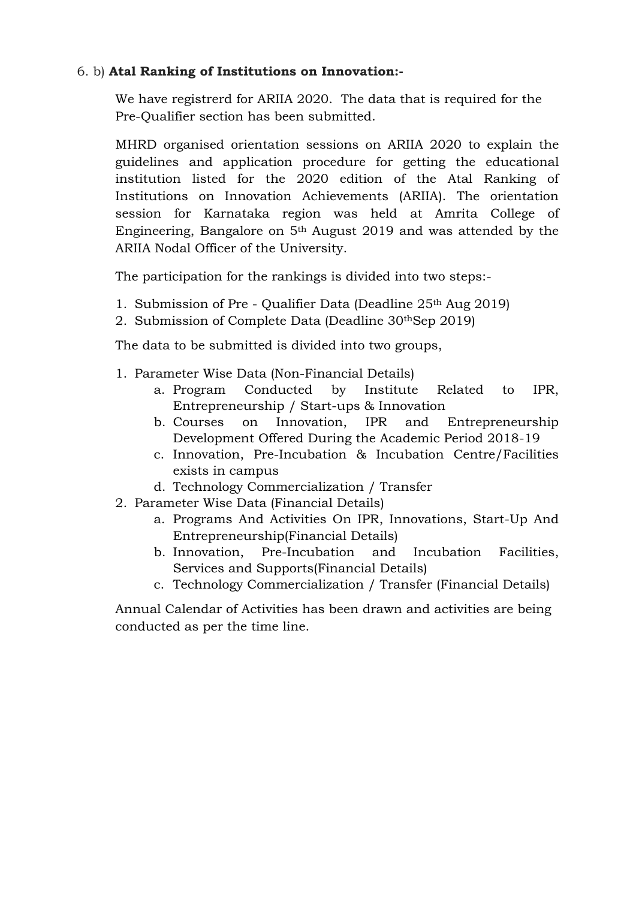#### 6. b) **Atal Ranking of Institutions on Innovation:-**

We have registrerd for ARIIA 2020. The data that is required for the Pre-Qualifier section has been submitted.

MHRD organised orientation sessions on ARIIA 2020 to explain the guidelines and application procedure for getting the educational institution listed for the 2020 edition of the Atal Ranking of Institutions on Innovation Achievements (ARIIA). The orientation session for Karnataka region was held at Amrita College of Engineering, Bangalore on 5th August 2019 and was attended by the ARIIA Nodal Officer of the University.

The participation for the rankings is divided into two steps:-

- 1. Submission of Pre Qualifier Data (Deadline 25th Aug 2019)
- 2. Submission of Complete Data (Deadline 30thSep 2019)

The data to be submitted is divided into two groups,

- 1. Parameter Wise Data (Non-Financial Details)
	- a. Program Conducted by Institute Related to IPR, Entrepreneurship / Start-ups & Innovation
	- b. Courses on Innovation, IPR and Entrepreneurship Development Offered During the Academic Period 2018-19
	- c. Innovation, Pre-Incubation & Incubation Centre/Facilities exists in campus
	- d. Technology Commercialization / Transfer
- 2. Parameter Wise Data (Financial Details)
	- a. Programs And Activities On IPR, Innovations, Start-Up And Entrepreneurship(Financial Details)
	- b. Innovation, Pre-Incubation and Incubation Facilities, Services and Supports(Financial Details)
	- c. Technology Commercialization / Transfer (Financial Details)

Annual Calendar of Activities has been drawn and activities are being conducted as per the time line.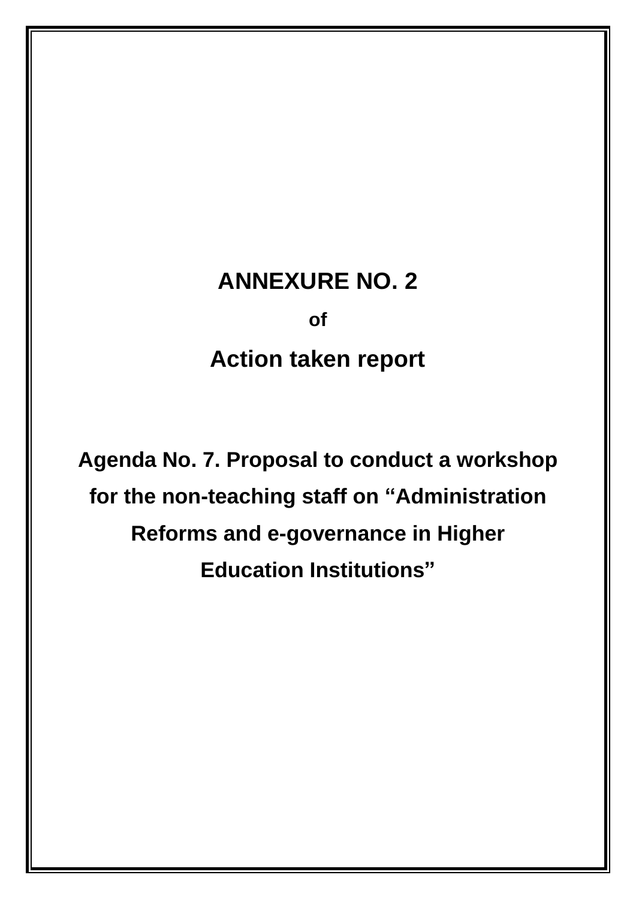# **ANNEXURE NO. 2**

**of**

# **Action taken report**

**Agenda No. 7. Proposal to conduct a workshop for the non-teaching staff on "Administration Reforms and e-governance in Higher Education Institutions"**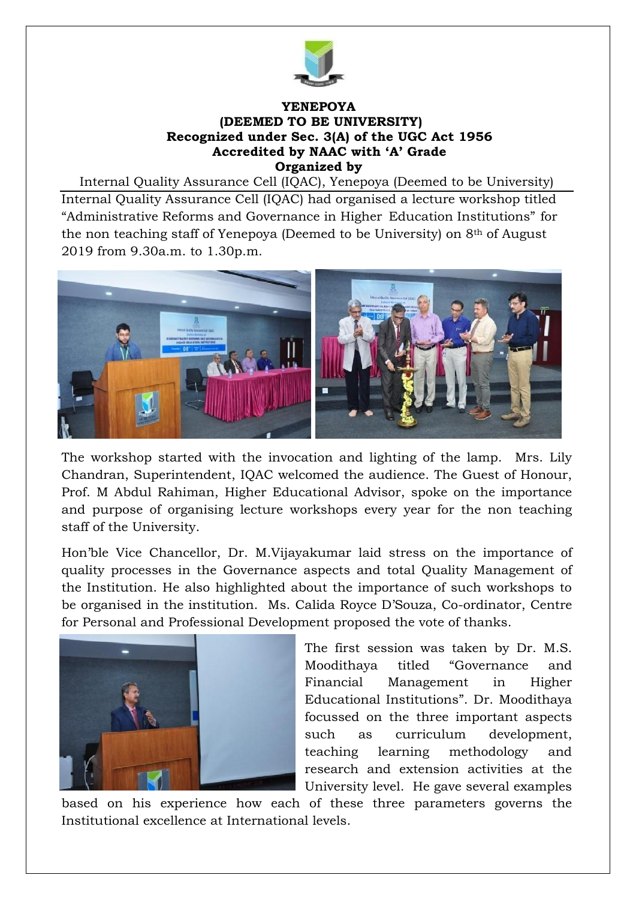

#### **YENEPOYA (DEEMED TO BE UNIVERSITY) Recognized under Sec. 3(A) of the UGC Act 1956 Accredited by NAAC with 'A' Grade Organized by**

Internal Quality Assurance Cell (IQAC), Yenepoya (Deemed to be University) Internal Quality Assurance Cell (IQAC) had organised a lecture workshop titled "Administrative Reforms and Governance in Higher Education Institutions" for the non teaching staff of Yenepoya (Deemed to be University) on 8th of August 2019 from 9.30a.m. to 1.30p.m.



The workshop started with the invocation and lighting of the lamp. Mrs. Lily Chandran, Superintendent, IQAC welcomed the audience. The Guest of Honour, Prof. M Abdul Rahiman, Higher Educational Advisor, spoke on the importance and purpose of organising lecture workshops every year for the non teaching staff of the University.

Hon'ble Vice Chancellor, Dr. M.Vijayakumar laid stress on the importance of quality processes in the Governance aspects and total Quality Management of the Institution. He also highlighted about the importance of such workshops to be organised in the institution. Ms. Calida Royce D'Souza, Co-ordinator, Centre for Personal and Professional Development proposed the vote of thanks.



The first session was taken by Dr. M.S. Moodithaya titled "Governance and Financial Management in Higher Educational Institutions". Dr. Moodithaya focussed on the three important aspects such as curriculum development, teaching learning methodology and research and extension activities at the University level. He gave several examples

based on his experience how each of these three parameters governs the Institutional excellence at International levels.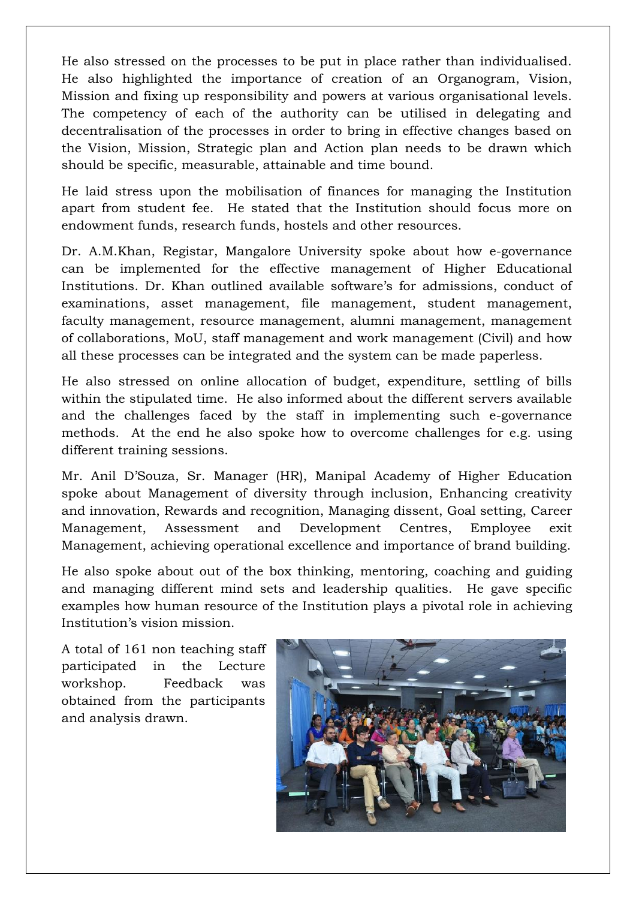He also stressed on the processes to be put in place rather than individualised. He also highlighted the importance of creation of an Organogram, Vision, Mission and fixing up responsibility and powers at various organisational levels. The competency of each of the authority can be utilised in delegating and decentralisation of the processes in order to bring in effective changes based on the Vision, Mission, Strategic plan and Action plan needs to be drawn which should be specific, measurable, attainable and time bound.

He laid stress upon the mobilisation of finances for managing the Institution apart from student fee. He stated that the Institution should focus more on endowment funds, research funds, hostels and other resources.

Dr. A.M.Khan, Registar, Mangalore University spoke about how e-governance can be implemented for the effective management of Higher Educational Institutions. Dr. Khan outlined available software's for admissions, conduct of examinations, asset management, file management, student management, faculty management, resource management, alumni management, management of collaborations, MoU, staff management and work management (Civil) and how all these processes can be integrated and the system can be made paperless.

He also stressed on online allocation of budget, expenditure, settling of bills within the stipulated time. He also informed about the different servers available and the challenges faced by the staff in implementing such e-governance methods. At the end he also spoke how to overcome challenges for e.g. using different training sessions.

Mr. Anil D'Souza, Sr. Manager (HR), Manipal Academy of Higher Education spoke about Management of diversity through inclusion, Enhancing creativity and innovation, Rewards and recognition, Managing dissent, Goal setting, Career Management, Assessment and Development Centres, Employee exit Management, achieving operational excellence and importance of brand building.

He also spoke about out of the box thinking, mentoring, coaching and guiding and managing different mind sets and leadership qualities. He gave specific examples how human resource of the Institution plays a pivotal role in achieving Institution's vision mission.

A total of 161 non teaching staff participated in the Lecture workshop. Feedback was obtained from the participants and analysis drawn.

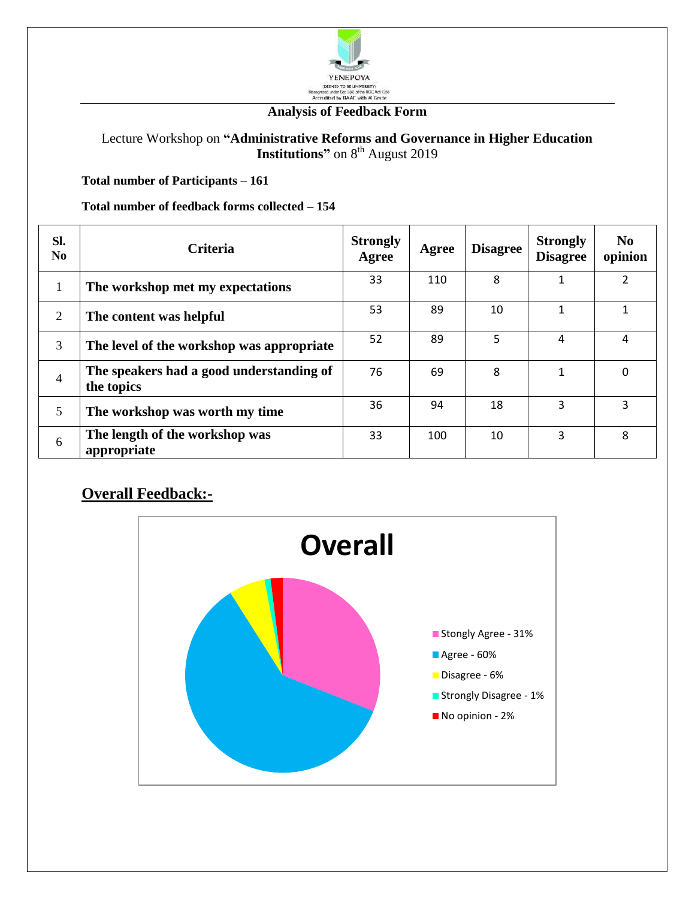

#### **Analysis of Feedback Form**

Lecture Workshop on **"Administrative Reforms and Governance in Higher Education Institutions"** on 8<sup>th</sup> August 2019

**Total number of Participants – 161**

**Total number of feedback forms collected – 154**

| Sl.<br>N <sub>0</sub> | <b>Criteria</b>                                        | <b>Strongly</b><br>Agree | Agree | <b>Disagree</b> | <b>Strongly</b><br><b>Disagree</b> | N <sub>0</sub><br>opinion |
|-----------------------|--------------------------------------------------------|--------------------------|-------|-----------------|------------------------------------|---------------------------|
| $\mathbf{1}$          | The workshop met my expectations                       | 33                       | 110   | 8               |                                    | $\overline{2}$            |
| $\overline{2}$        | The content was helpful                                | 53                       | 89    | 10              | 1                                  |                           |
| 3                     | The level of the workshop was appropriate              | 52                       | 89    | 5               | 4                                  | 4                         |
| $\overline{4}$        | The speakers had a good understanding of<br>the topics | 76                       | 69    | 8               | 1                                  | $\Omega$                  |
| 5                     | The workshop was worth my time                         | 36                       | 94    | 18              | 3                                  | 3                         |
| 6                     | The length of the workshop was<br>appropriate          | 33                       | 100   | 10              | 3                                  | 8                         |

#### **Overall Feedback:-**

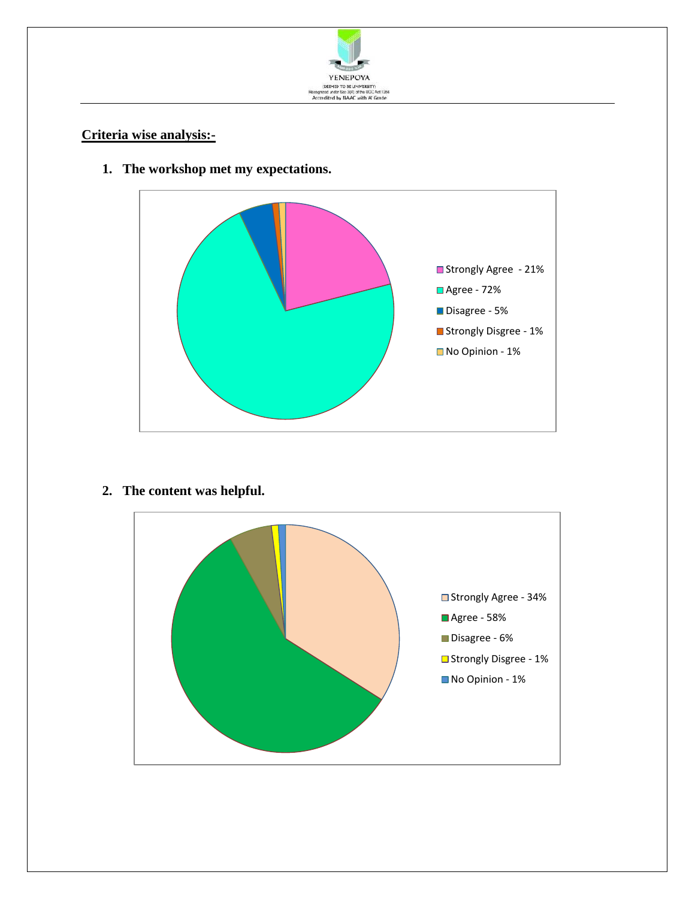

#### **Criteria wise analysis:-**



**1. The workshop met my expectations.**

**2. The content was helpful.**

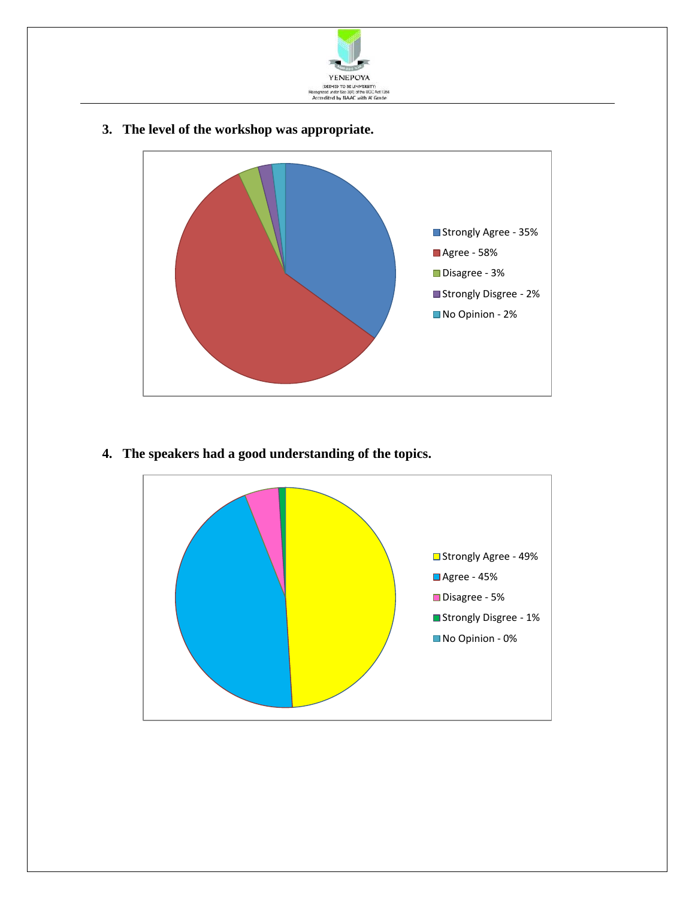

**3. The level of the workshop was appropriate.**



**4. The speakers had a good understanding of the topics.**

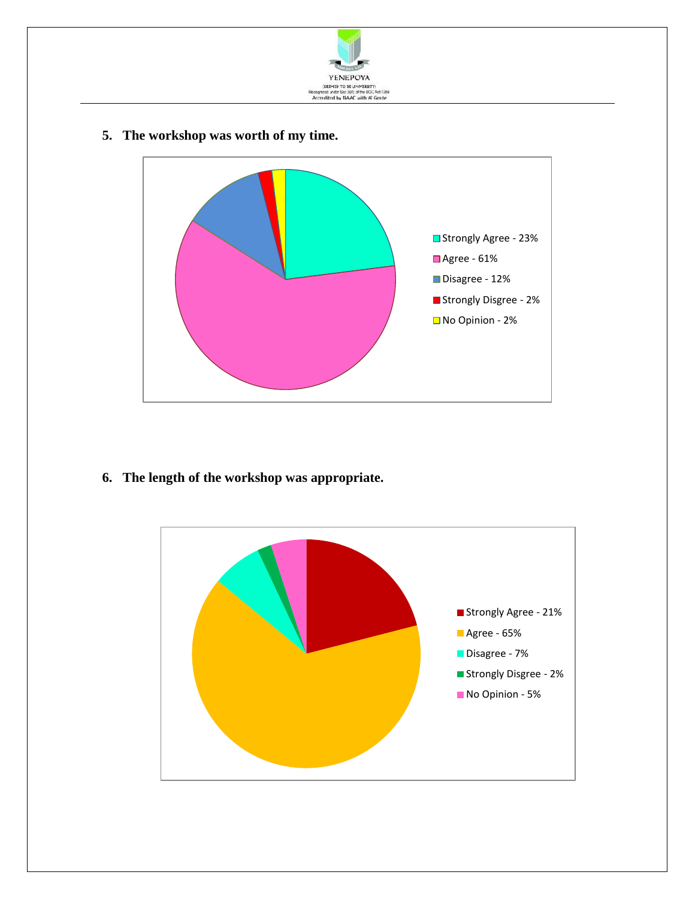

**5. The workshop was worth of my time.**



**6. The length of the workshop was appropriate.**